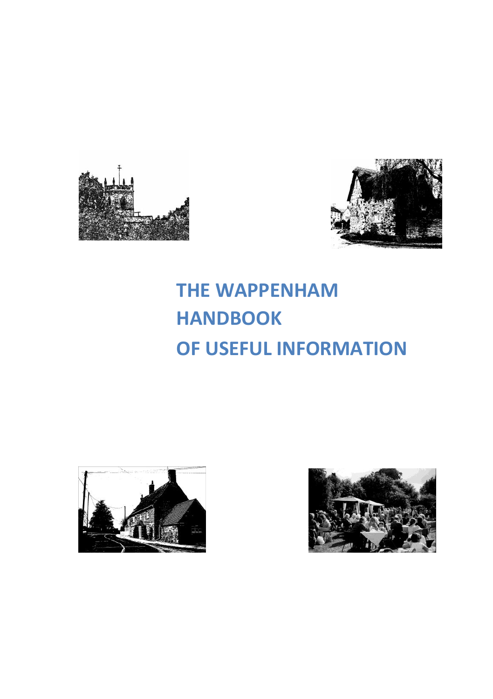



# **THE WAPPENHAM HANDBOOK OF USEFUL INFORMATION**



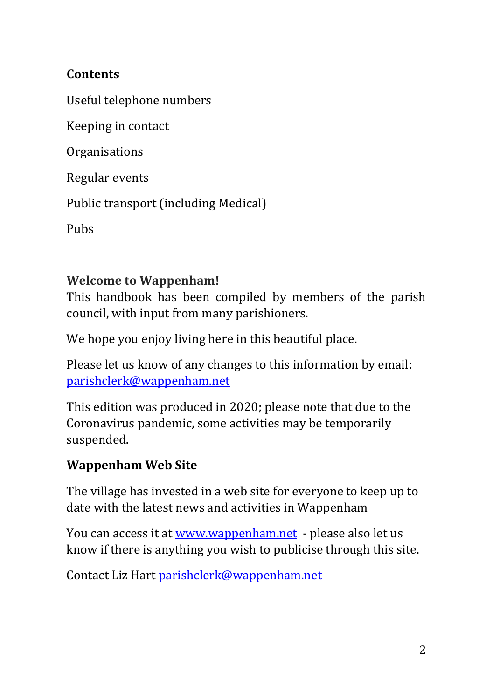## **Contents**

Useful telephone numbers

Keeping in contact

Organisations

Regular events

Public transport (including Medical)

Pubs

#### **Welcome to Wappenham!**

This handbook has been compiled by members of the parish council, with input from many parishioners.

We hope you enjoy living here in this beautiful place.

Please let us know of any changes to this information by email: [parishclerk@wappenham.net](mailto:parishclerk@wappenham.net)

This edition was produced in 2020; please note that due to the Coronavirus pandemic, some activities may be temporarily suspended.

## **Wappenham Web Site**

The village has invested in a web site for everyone to keep up to date with the latest news and activities in Wappenham

You can access it at [www.wappenham.net](http://www.wappenham.net/) - please also let us know if there is anything you wish to publicise through this site.

Contact Liz Hart [parishclerk@wappenham.net](mailto:parishclerk@wappenham.net)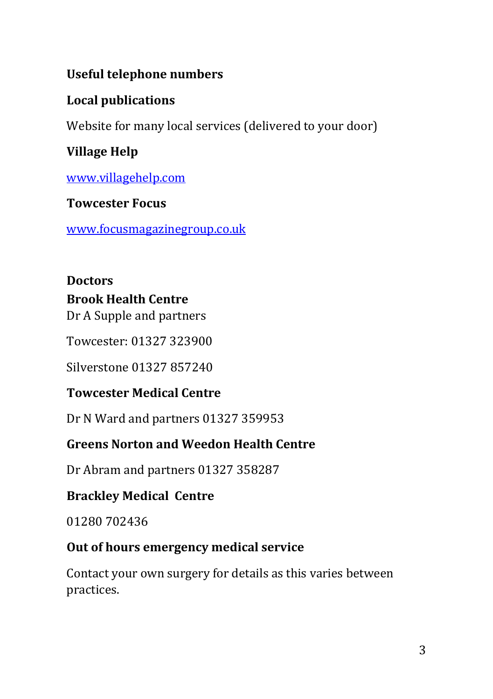## **Useful telephone numbers**

## **Local publications**

Website for many local services (delivered to your door)

# **Village Help**

[www.villagehelp.com](http://www.villagehelp.com/)

#### **Towcester Focus**

[www.focusmagazinegroup.co.uk](http://www.focusmagazinegroup.co.uk/)

# **Doctors**

#### **Brook Health Centre**

Dr A Supple and partners

Towcester: 01327 323900

Silverstone 01327 857240

#### **Towcester Medical Centre**

Dr N Ward and partners 01327 359953

## **Greens Norton and Weedon Health Centre**

Dr Abram and partners 01327 358287

#### **Brackley Medical Centre**

01280 702436

#### **Out of hours emergency medical service**

Contact your own surgery for details as this varies between practices.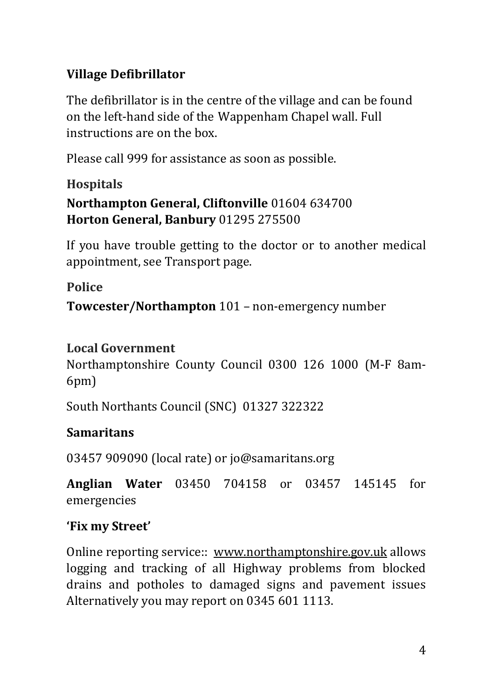# **Village Defibrillator**

The defibrillator is in the centre of the village and can be found on the left-hand side of the Wappenham Chapel wall. Full instructions are on the box.

Please call 999 for assistance as soon as possible.

# **Hospitals Northampton General, Cliftonville** 01604 634700 **Horton General, Banbury** 01295 275500

If you have trouble getting to the doctor or to another medical appointment, see Transport page.

**Police**

**Towcester/Northampton** 101 – non-emergency number

## **Local Government**

Northamptonshire County Council 0300 126 1000 (M-F 8am-6pm)

South Northants Council (SNC) 01327 322322

# **Samaritans**

03457 909090 (local rate) or jo@samaritans.org

**Anglian Water** 03450 704158 or 03457 145145 for emergencies

## **'Fix my Street'**

Online reporting service:: www.northamptonshire.gov.uk allows logging and tracking of all Highway problems from blocked drains and potholes to damaged signs and pavement issues Alternatively you may report on 0345 601 1113.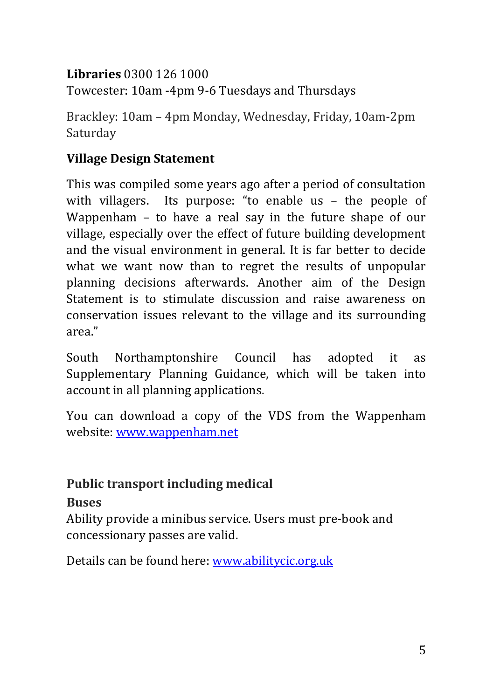## **Libraries** 0300 126 1000

Towcester: 10am -4pm 9-6 Tuesdays and Thursdays

Brackley: 10am – 4pm Monday, Wednesday, Friday, 10am-2pm Saturday

# **Village Design Statement**

This was compiled some years ago after a period of consultation with villagers. Its purpose: "to enable us – the people of Wappenham – to have a real say in the future shape of our village, especially over the effect of future building development and the visual environment in general. It is far better to decide what we want now than to regret the results of unpopular planning decisions afterwards. Another aim of the Design Statement is to stimulate discussion and raise awareness on conservation issues relevant to the village and its surrounding area."

South Northamptonshire Council has adopted it as Supplementary Planning Guidance, which will be taken into account in all planning applications.

You can download a copy of the VDS from the Wappenham website: [www.wappenham.net](http://www.wappenham.net/)

# **Public transport including medical**

# **Buses**

Ability provide a minibus service. Users must pre-book and concessionary passes are valid.

Details can be found here: [www.abilitycic.org.uk](http://www.abilitycic.org.uk/)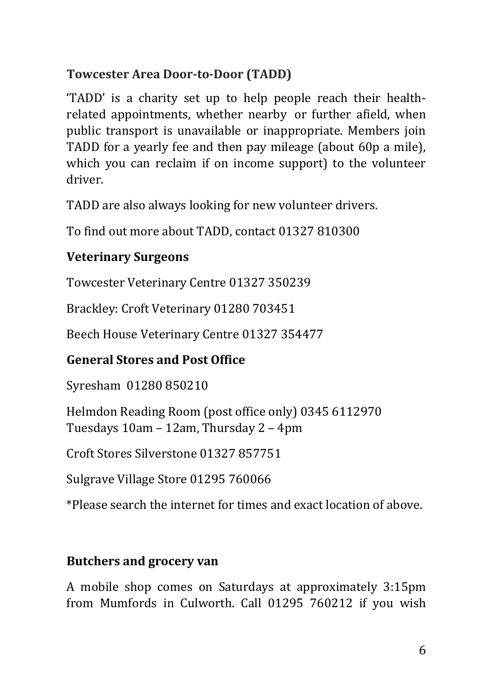## **Towcester Area Door-to-Door (TADD)**

'TADD' is a charity set up to help people reach their healthrelated appointments, whether nearby or further afield, when public transport is unavailable or inappropriate. Members join TADD for a yearly fee and then pay mileage (about 60p a mile), which you can reclaim if on income support) to the volunteer driver.

TADD are also always looking for new volunteer drivers.

To find out more about TADD, contact 01327 810300

## **Veterinary Surgeons**

Towcester Veterinary Centre 01327 350239

Brackley: Croft Veterinary 01280 703451

Beech House Veterinary Centre 01327 354477

## **General Stores and Post Office**

Syresham 01280 850210

Helmdon Reading Room (post office only) 0345 6112970 Tuesdays 10am – 12am, Thursday 2 – 4pm

Croft Stores Silverstone 01327 857751

Sulgrave Village Store 01295 760066

\*Please search the internet for times and exact location of above.

## **Butchers and grocery van**

A mobile shop comes on Saturdays at approximately 3:15pm from Mumfords in Culworth. Call 01295 760212 if you wish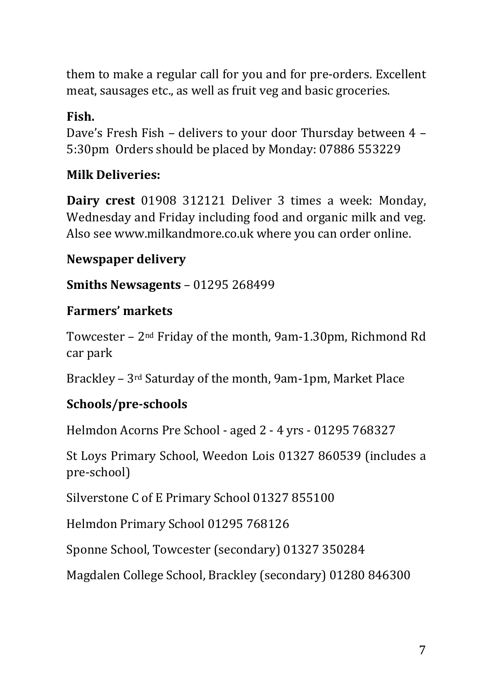them to make a regular call for you and for pre-orders. Excellent meat, sausages etc., as well as fruit veg and basic groceries.

## **Fish.**

Dave's Fresh Fish – delivers to your door Thursday between 4 – 5:30pm Orders should be placed by Monday: 07886 553229

#### **Milk Deliveries:**

**Dairy crest** 01908 312121 Deliver 3 times a week: Monday, Wednesday and Friday including food and organic milk and veg. Also see www.milkandmore.co.uk where you can order online.

#### **Newspaper delivery**

**Smiths Newsagents** – 01295 268499

#### **Farmers' markets**

Towcester – 2nd Friday of the month, 9am-1.30pm, Richmond Rd car park

Brackley – 3rd Saturday of the month, 9am-1pm, Market Place

#### **Schools/pre-schools**

Helmdon Acorns Pre School - aged 2 - 4 yrs - 01295 768327

St Loys Primary School, Weedon Lois 01327 860539 (includes a pre-school)

Silverstone C of E Primary School 01327 855100

Helmdon Primary School 01295 768126

Sponne School, Towcester (secondary) 01327 350284

Magdalen College School, Brackley (secondary) 01280 846300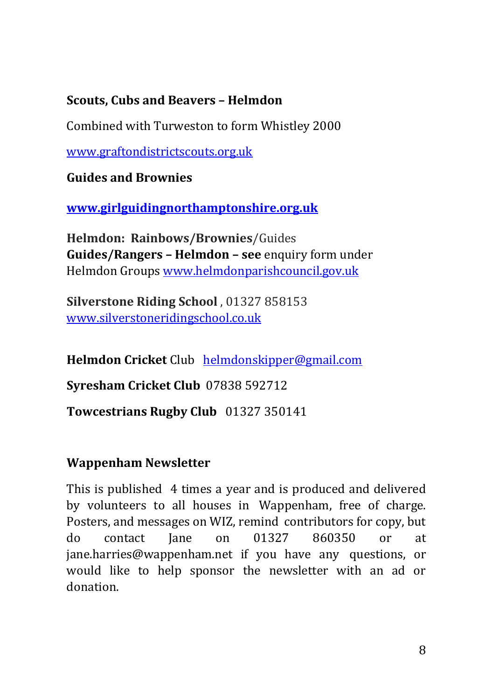#### **Scouts, Cubs and Beavers – Helmdon**

Combined with Turweston to form Whistley 2000

[www.graftondistrictscouts.org.uk](http://www.graftondistrictscouts.org.uk/)

**Guides and Brownies**

**[www.girlguidingnorthamptonshire.org.uk](http://www.girlguidingnorthamptonshire.org.uk/)**

**Helmdon: Rainbows/Brownies**/Guides **Guides/Rangers – Helmdon – see** enquiry form under Helmdon Group[s www.helmdonparishcouncil.gov.uk](http://www.helmdonparishcouncil.gov.uk/)

**Silverstone Riding School** , 01327 858153 [www.silverstoneridingschool.co.uk](http://www.silverstoneridingschool.co.uk/)

**Helmdon Cricket** Club [helmdonskipper@gmail.com](mailto:helmdonskipper@gmail.com)

**Syresham Cricket Club** 07838 592712

**Towcestrians Rugby Club** 01327 350141

#### **Wappenham Newsletter**

This is published 4 times a year and is produced and delivered by volunteers to all houses in Wappenham, free of charge. Posters, and messages on WIZ, remind contributors for copy, but do contact Jane on 01327 860350 or at jane.harries@wappenham.net if you have any questions, or would like to help sponsor the newsletter with an ad or donation.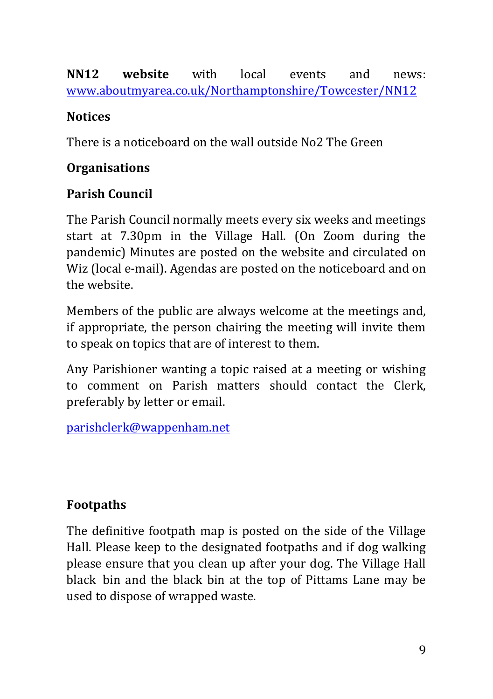#### **NN12 website** with local events and news: [www.aboutmyarea.co.uk/Northamptonshire/Towcester/NN12](http://www.aboutmyarea.co.uk/Northamptonshire/Towcester/NN12)

## **Notices**

There is a noticeboard on the wall outside No2 The Green

## **Organisations**

## **Parish Council**

The Parish Council normally meets every six weeks and meetings start at 7.30pm in the Village Hall. (On Zoom during the pandemic) Minutes are posted on the website and circulated on Wiz (local e-mail). Agendas are posted on the noticeboard and on the website.

Members of the public are always welcome at the meetings and, if appropriate, the person chairing the meeting will invite them to speak on topics that are of interest to them.

Any Parishioner wanting a topic raised at a meeting or wishing to comment on Parish matters should contact the Clerk, preferably by letter or email.

[parishclerk@wappenham.net](mailto:parishclerk@wappenham.net)

## **Footpaths**

The definitive footpath map is posted on the side of the Village Hall. Please keep to the designated footpaths and if dog walking please ensure that you clean up after your dog. The Village Hall black bin and the black bin at the top of Pittams Lane may be used to dispose of wrapped waste.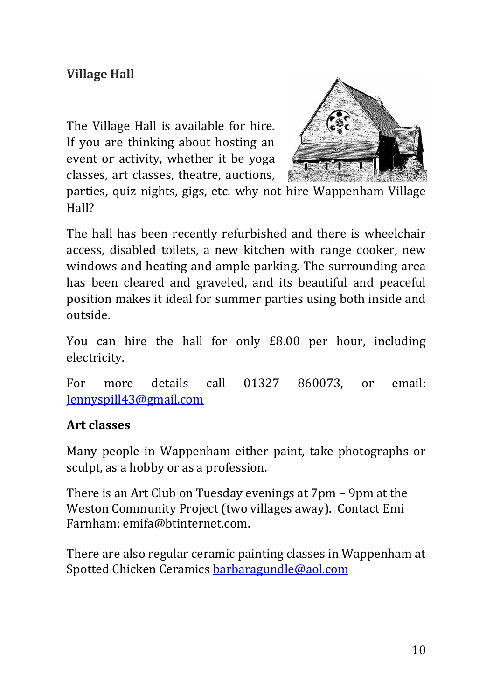## **Village Hall**

The Village Hall is available for hire. If you are thinking about hosting an event or activity, whether it be yoga classes, art classes, theatre, auctions,



parties, quiz nights, gigs, etc. why not hire Wappenham Village Hall?

The hall has been recently refurbished and there is wheelchair access, disabled toilets, a new kitchen with range cooker, new windows and heating and ample parking. The surrounding area has been cleared and graveled, and its beautiful and peaceful position makes it ideal for summer parties using both inside and outside.

You can hire the hall for only £8.00 per hour, including electricity.

For more details call 01327 860073, or email: [Jennyspill43@gmail.com](mailto:Jennyspill43@gmail.com)

#### **Art classes**

Many people in Wappenham either paint, take photographs or sculpt, as a hobby or as a profession.

There is an Art Club on Tuesday evenings at 7pm – 9pm at the Weston Community Project (two villages away). Contact Emi Farnham: emifa@btinternet.com.

There are also regular ceramic painting classes in Wappenham at Spotted Chicken Ceramics [barbaragundle@aol.com](mailto:barbaragundle@aol.com)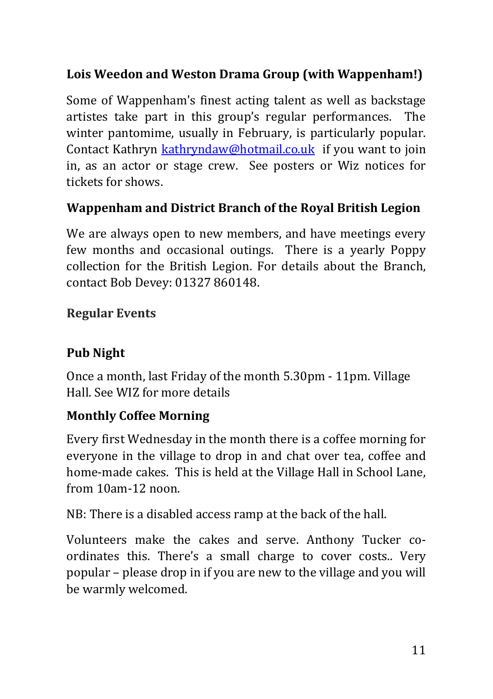## **Lois Weedon and Weston Drama Group (with Wappenham!)**

Some of Wappenham's finest acting talent as well as backstage artistes take part in this group's regular performances. The winter pantomime, usually in February, is particularly popular. Contact Kathryn [kathryndaw@hotmail.co.uk](mailto:kathryndaw@hotmail.co.uk) if you want to join in, as an actor or stage crew. See posters or Wiz notices for tickets for shows.

#### **Wappenham and District Branch of the Royal British Legion**

We are always open to new members, and have meetings every few months and occasional outings. There is a yearly Poppy collection for the British Legion. For details about the Branch, contact Bob Devey: 01327 860148.

#### **Regular Events**

## **Pub Night**

Once a month, last Friday of the month 5.30pm - 11pm. Village Hall. See WIZ for more details

#### **Monthly Coffee Morning**

Every first Wednesday in the month there is a coffee morning for everyone in the village to drop in and chat over tea, coffee and home-made cakes. This is held at the Village Hall in School Lane, from 10am-12 noon.

NB: There is a disabled access ramp at the back of the hall.

Volunteers make the cakes and serve. Anthony Tucker coordinates this. There's a small charge to cover costs.. Very popular – please drop in if you are new to the village and you will be warmly welcomed.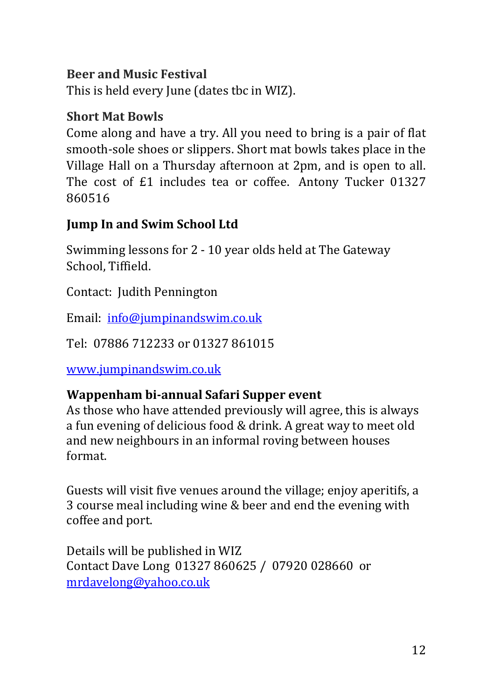#### **Beer and Music Festival**

This is held every June (dates tbc in WIZ).

#### **Short Mat Bowls**

Come along and have a try. All you need to bring is a pair of flat smooth-sole shoes or slippers. Short mat bowls takes place in the Village Hall on a Thursday afternoon at 2pm, and is open to all. The cost of £1 includes tea or coffee. Antony Tucker 01327 860516

#### **Jump In and Swim School Ltd**

Swimming lessons for 2 - 10 year olds held at The Gateway School, Tiffield.

Contact: Judith Pennington

Email: [info@jumpinandswim.co.uk](mailto:info@jumpinandswim.co.uk)

Tel: 07886 712233 or 01327 861015

[www.jumpinandswim.co.uk](x-webdoc://4EA53982-D900-4885-BFC9-C7A3BFF4C47E/www.jumpinandswim.co.uk)

#### **Wappenham bi-annual Safari Supper event**

As those who have attended previously will agree, this is always a fun evening of delicious food & drink. A great way to meet old and new neighbours in an informal roving between houses format.

Guests will visit five venues around the village; enjoy aperitifs, a 3 course meal including wine & beer and end the evening with coffee and port.

Details will be published in WIZ Contact Dave Long 01327 860625 / 07920 028660 or [mrdavelong@yahoo.co.uk](mailto:mrdavelong@yahoo.co.uk)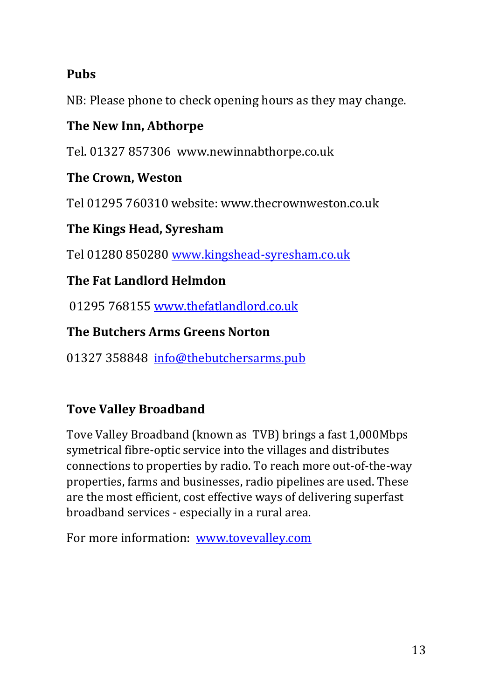## **Pubs**

NB: Please phone to check opening hours as they may change.

#### **The New Inn, Abthorpe**

Tel. 01327 857306 www.newinnabthorpe.co.uk

#### **The Crown, Weston**

Tel 01295 760310 website: www.thecrownweston.co.uk

## **The Kings Head, Syresham**

Tel 01280 850280 [www.kingshead-syresham.co.uk](http://www.kingshead-syresham.co.uk/)

## **The Fat Landlord Helmdon**

01295 768155 [www.thefatlandlord.co.uk](http://www.thefatlandlord.co.uk/)

#### **The Butchers Arms Greens Norton**

01327 358848 [info@thebutchersarms.pub](mailto:info@thebutchersarms.pub)

## **Tove Valley Broadband**

Tove Valley Broadband (known as TVB) brings a fast 1,000Mbps symetrical fibre-optic service into the villages and distributes connections to properties by radio. To reach more out-of-the-way properties, farms and businesses, radio pipelines are used. These are the most efficient, cost effective ways of delivering superfast broadband services - especially in a rural area.

For more information: [www.tovevalley.com](http://www.tovevalley.com/)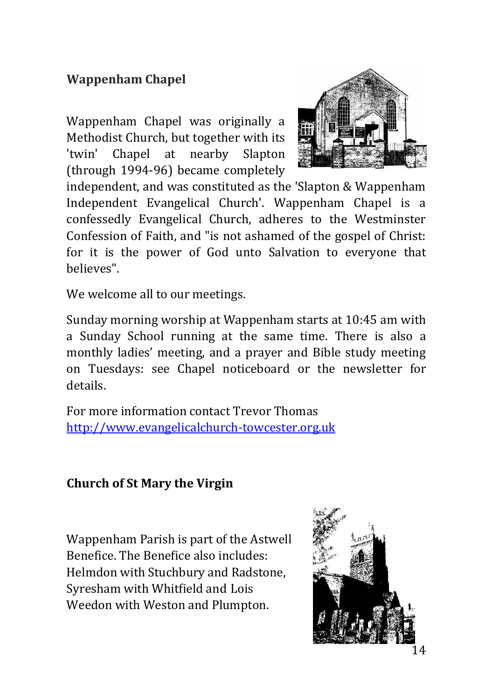## **Wappenham Chapel**

Wappenham Chapel was originally a Methodist Church, but together with its 'twin' Chapel at nearby Slapton (through 1994-96) became completely



independent, and was constituted as the 'Slapton & Wappenham Independent Evangelical Church'. Wappenham Chapel is a confessedly Evangelical Church, adheres to the Westminster Confession of Faith, and "is not ashamed of the gospel of Christ: for it is the power of God unto Salvation to everyone that believes".

We welcome all to our meetings.

Sunday morning worship at Wappenham starts at 10:45 am with a Sunday School running at the same time. There is also a monthly ladies' meeting, and a prayer and Bible study meeting on Tuesdays: see Chapel noticeboard or the newsletter for details.

For more information contact Trevor Thomas [http://www.evangelicalchurch-towcester.org.uk](http://www.evangelicalchurch-towcester.org.uk/)

#### **Church of St Mary the Virgin**

Wappenham Parish is part of the Astwell Benefice. The Benefice also includes: Helmdon with Stuchbury and Radstone, Syresham with Whitfield and Lois Weedon with Weston and Plumpton.